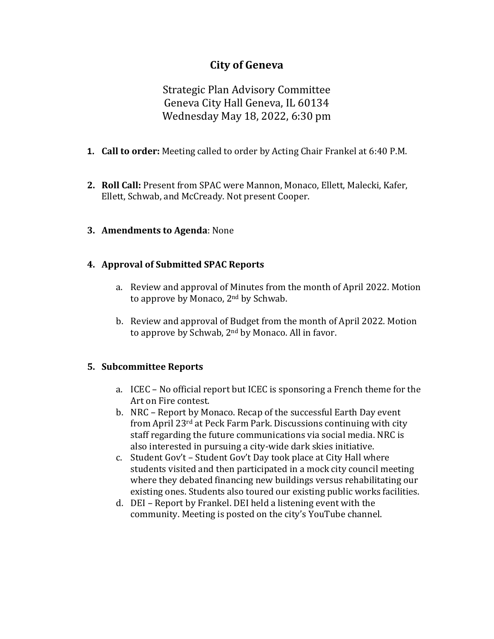# **City of Geneva**

Strategic Plan Advisory Committee Geneva City Hall Geneva, IL 60134 Wednesday May 18, 2022, 6:30 pm

- **1. Call to order:** Meeting called to order by Acting Chair Frankel at 6:40 P.M.
- **2. Roll Call:** Present from SPAC were Mannon, Monaco, Ellett, Malecki, Kafer, Ellett, Schwab, and McCready. Not present Cooper.
- **3. Amendments to Agenda**: None

### **4. Approval of Submitted SPAC Reports**

- a. Review and approval of Minutes from the month of April 2022. Motion to approve by Monaco, 2nd by Schwab.
- b. Review and approval of Budget from the month of April 2022. Motion to approve by Schwab, 2nd by Monaco. All in favor.

### **5. Subcommittee Reports**

- a. ICEC No official report but ICEC is sponsoring a French theme for the Art on Fire contest.
- b. NRC Report by Monaco. Recap of the successful Earth Day event from April 23rd at Peck Farm Park. Discussions continuing with city staff regarding the future communications via social media. NRC is also interested in pursuing a city-wide dark skies initiative.
- c. Student Gov't Student Gov't Day took place at City Hall where students visited and then participated in a mock city council meeting where they debated financing new buildings versus rehabilitating our existing ones. Students also toured our existing public works facilities.
- d. DEI Report by Frankel. DEI held a listening event with the community. Meeting is posted on the city's YouTube channel.